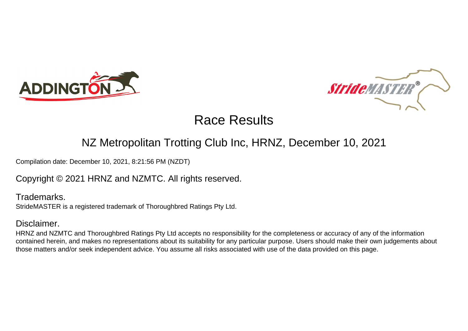



## NZ Metropolitan Trotting Club Inc, HRNZ, December 10, 2021

Compilation date: December 10, 2021, 8:21:56 PM (NZDT)

### Copyright © 2021 HRNZ and NZMTC. All rights reserved.

Trademarks. StrideMASTER is a registered trademark of Thoroughbred Ratings Pty Ltd.

### Disclaimer.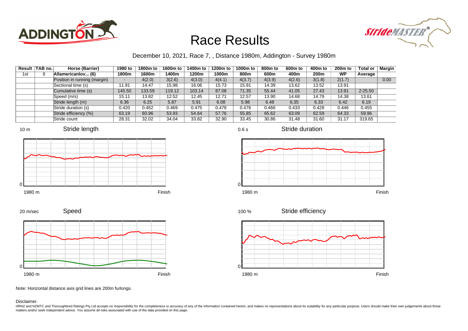



### December 10, 2021, Race 7, , Distance 1980m, Addington - Survey 1980m

|     | Result TAB no. | Horse (Barrier)              | 1980 to                  | 1800m to | 1600m to | 1400m to | 1200m to | 1000m to | 800m to | 600 <sub>m</sub> to | 400m to | 200 <sub>m</sub> to | <b>Total or</b> | Margin |
|-----|----------------|------------------------------|--------------------------|----------|----------|----------|----------|----------|---------|---------------------|---------|---------------------|-----------------|--------|
| 1st | 6              | Allamericanlov (6)           | 1800m                    | 1600m    | 1400m    | 1200m    | 1000m    | 800m     | 600m    | 400m                | 200m    | <b>WP</b>           | Average         |        |
|     |                | Position in running (margin) | $\overline{\phantom{0}}$ | 4(2.0)   | 3(2.6)   | 4(3.0)   | 4(4.1)   | 4(3.7)   | 4(3.9)  | 4(2.6)              | 3(1.8)  | 2(1.7)              |                 | 0.00   |
|     |                | Sectional time (s)           | 11.91                    | 14.47    | 15.98    | 16.06    | 15.73    | 15.91    | 14.39   | 13.62               | 13.52   | 13.91               |                 |        |
|     |                | Cumulative time (s)          | 145.50                   | 133.59   | 119.12   | 103.14   | 87.08    | 71.35    | 55.44   | 41.05               | 27.43   | 13.91               | 2:25.50         |        |
|     |                | Speed (m/s)                  | 15.11                    | 13.82    | 12.52    | 12.45    | 12.71    | 12.57    | 13.90   | 14.68               | 14.79   | 14.38               | 13.61           |        |
|     |                | Stride length (m)            | 6.36                     | 6.25     | 5.87     | 5.91     | 6.08     | 5.98     | 6.48    | 6.35                | 6.33    | 6.42                | 6.19            |        |
|     |                | Stride duration (s)          | 0.420                    | 0.452    | 0.469    | 0.475    | 0.478    | 0.476    | 0.466   | 0.433               | 0.428   | 0.446               | 0.455           |        |
|     |                | Stride efficiency (%)        | 63.19                    | 60.96    | 53.93    | 54.64    | 57.76    | 55.85    | 65.62   | 63.09               | 62.59   | 64.33               | 59.96           |        |
|     |                | Stride count                 | 28.31                    | 32.02    | 34.04    | 33.82    | 32.90    | 33.45    | 30.86   | 31.48               | 31.60   | 31.17               | 319.65          |        |











0.6 s

Stride duration



Stride efficiency 100 %



Note: Horizontal distance axis grid lines are 200m furlongs.

#### Disclaimer.

0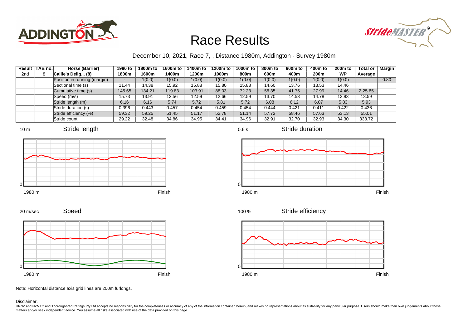



### December 10, 2021, Race 7, , Distance 1980m, Addington - Survey 1980m

| Result          | TAB no. | Horse (Barrier)              | 1980 to | 1800m to | 1600m to | 1400m to | 1200m to | 1000m to | 800 <sub>m</sub> to | 600m to | 400m to | 200 <sub>m</sub> to | <b>Total or</b> | <b>Margin</b> |
|-----------------|---------|------------------------------|---------|----------|----------|----------|----------|----------|---------------------|---------|---------|---------------------|-----------------|---------------|
| 2 <sub>nd</sub> | 8       | Callie's Delig (8)           | 1800m   | 1600m    | 1400m    | 1200m    | 1000m    | 800m     | 600m                | 400m    | 200m    | WP                  | Average         |               |
|                 |         | Position in running (margin) |         | 1(0.0)   | 1(0.0)   | 1(0.0)   | 1(0.0)   | 1(0.0)   | 1(0.0)              | 1(0.0)  | 1(0.0)  | 1(0.0)              |                 | 0.80          |
|                 |         | Sectional time (s)           | 11.44   | 14.38    | 15.92    | 15.88    | 15.80    | 15.88    | 14.60               | 13.76   | 13.53   | 14.46               |                 |               |
|                 |         | Cumulative time (s)          | 145.65  | 134.21   | 119.83   | 103.91   | 88.03    | 72.23    | 56.35               | 41.75   | 27.99   | 14.46               | 2:25.65         |               |
|                 |         | Speed (m/s)                  | 15.73   | 13.91    | 12.56    | 12.59    | 12.66    | 12.59    | 13.70               | 14.53   | 14.78   | 13.83               | 13.59           |               |
|                 |         | Stride length (m)            | 6.16    | 6.16     | 5.74     | 5.72     | 5.81     | 5.72     | 6.08                | 6.12    | 6.07    | 5.83                | 5.93            |               |
|                 |         | Stride duration (s)          | 0.396   | 0.443    | 0.457    | 0.454    | 0.459    | 0.454    | 0.444               | 0.421   | 0.411   | 0.422               | 0.436           |               |
|                 |         | Stride efficiency (%)        | 59.32   | 59.25    | 51.45    | 51.17    | 52.78    | 51.14    | 57.72               | 58.46   | 57.63   | 53.13               | 55.01           |               |
|                 |         | Stride count                 | 29.22   | 32.48    | 34.86    | 34.95    | 34.41    | 34.96    | 32.91               | 32.70   | 32.93   | 34.30               | 333.72          |               |







Stride duration





Speed







Note: Horizontal distance axis grid lines are 200m furlongs.

#### Disclaimer.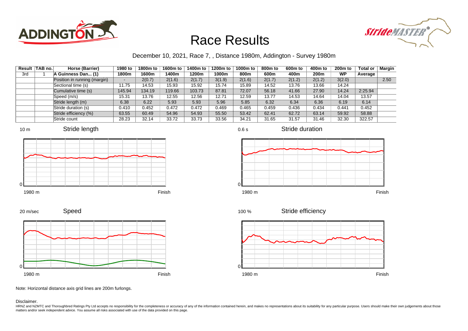



### December 10, 2021, Race 7, , Distance 1980m, Addington - Survey 1980m

0.6 s

|     | Result TAB no. | Horse (Barrier)              | 1980 to | 1800m to | 1600m to | 1400m to | 1200m to | 1000m to | 800 <sub>m</sub> to | 600m to | 400m to | 200 <sub>m</sub> to | <b>Total or</b> | <b>Margin</b> |
|-----|----------------|------------------------------|---------|----------|----------|----------|----------|----------|---------------------|---------|---------|---------------------|-----------------|---------------|
| 3rd |                | A Guinness Dan (1)           | 1800m   | 1600m    | 1400m    | 1200m    | 1000m    | 800m     | 600m                | 400m    | 200m    | WP                  | Average         |               |
|     |                | Position in running (margin) |         | 2(0.7)   | 2(1.6)   | 2(1.7)   | 3(1.9)   | 2(1.6)   | 2(1.7)              | 2(1.2)  | 2(1.2)  | 3(2.0)              |                 | 2.50          |
|     |                | Sectional time (s)           | 11.75   | 14.53    | 15.93    | 15.92    | 15.74    | 15.89    | 14.52               | 13.76   | 13.66   | 14.24               |                 |               |
|     |                | Cumulative time (s)          | 145.94  | 134.19   | 119.66   | 103.73   | 87.81    | 72.07    | 56.18               | 41.66   | 27.90   | 14.24               | 2:25.94         |               |
|     |                | Speed (m/s)                  | 15.31   | 13.76    | 12.55    | 12.56    | 12.71    | 12.59    | 13.77               | 14.53   | 14.64   | 14.04               | 13.57           |               |
|     |                | Stride length (m)            | 6.38    | 6.22     | 5.93     | 5.93     | 5.96     | 5.85     | 6.32                | 6.34    | 6.36    | 6.19                | 6.14            |               |
|     |                | Stride duration (s)          | 0.410   | 0.452    | 0.472    | 0.472    | 0.469    | 0.465    | 0.459               | 0.436   | 0.434   | 0.441               | 0.452           |               |
|     |                | Stride efficiency (%)        | 63.55   | 60.49    | 54.96    | 54.93    | 55.50    | 53.42    | 62.41               | 62.72   | 63.14   | 59.92               | 58.88           |               |
|     |                | Stride count                 | 28.23   | 32.14    | 33.72    | 33.73    | 33.56    | 34.21    | 31.65               | 31.57   | 31.46   | 32.30               | 322.57          |               |







Stride duration



Stride efficiency 100 %



Speed 20 m/sec



Note: Horizontal distance axis grid lines are 200m furlongs.

Disclaimer.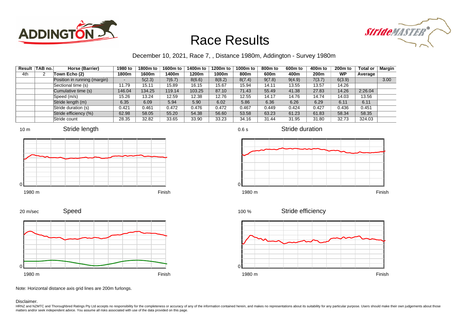



### December 10, 2021, Race 7, , Distance 1980m, Addington - Survey 1980m

| Result | TAB no. | Horse (Barrier)              | 1980 to | 1800m to | 1600m to | 1400m to | 1200m to | 1000m to | 800m to | 600 <sub>m</sub> to | 400m to | 200 <sub>m</sub> to | <b>Total or</b> | Margin |
|--------|---------|------------------------------|---------|----------|----------|----------|----------|----------|---------|---------------------|---------|---------------------|-----------------|--------|
| 4th    | ∼       | Town Echo (2)                | 1800m   | 1600m    | 1400m    | 1200m    | 1000m    | 800m     | 600m    | 400m                | 200m    | WP                  | Average         |        |
|        |         | Position in running (margin) | $\sim$  | 5(2.3)   | 7(6.7)   | 8(6.6)   | 8(8.2)   | 8(7.4)   | 9(7.8)  | 9(4.9)              | 7(3.7)  | 6(3.9)              |                 | 3.00   |
|        |         | Sectional time (s)           | 11.79   | 15.11    | 15.89    | 16.15    | 15.67    | 15.94    | 14.11   | 13.55               | 13.57   | 14.26               |                 |        |
|        |         | Cumulative time (s)          | 146.04  | 134.25   | 119.14   | 103.25   | 87.10    | 71.43    | 55.49   | 41.38               | 27.83   | 14.26               | 2:26.04         |        |
|        |         | Speed (m/s)                  | 15.26   | 13.24    | 12.59    | 12.38    | 12.76    | 12.55    | 14.17   | 14.76               | 14.74   | 14.03               | 13.56           |        |
|        |         | Stride length (m)            | 6.35    | 6.09     | 5.94     | 5.90     | 6.02     | 5.86     | 6.36    | 6.26                | 6.29    | 6.11                | 6.11            |        |
|        |         | Stride duration (s)          | 0.421   | 0.461    | 0.472    | 0.476    | 0.472    | 0.467    | 0.449   | 0.424               | 0.427   | 0.436               | 0.451           |        |
|        |         | Stride efficiency (%)        | 62.98   | 58.05    | 55.20    | 54.38    | 56.60    | 53.58    | 63.23   | 61.23               | 61.83   | 58.34               | 58.35           |        |
|        |         | Stride count                 | 28.35   | 32.82    | 33.65    | 33.90    | 33.23    | 34.16    | 31.44   | 31.95               | 31.80   | 32.73               | 324.03          |        |







Stride duration



Speed







Note: Horizontal distance axis grid lines are 200m furlongs.

#### Disclaimer.

20 m/sec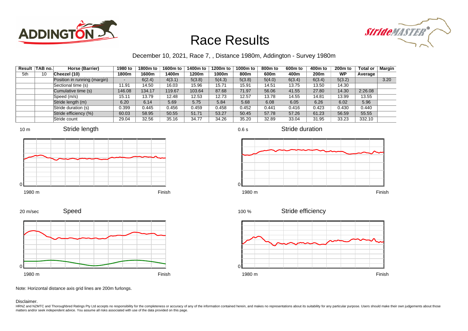



### December 10, 2021, Race 7, , Distance 1980m, Addington - Survey 1980m

|     | Result TAB no. | Horse (Barrier)              | 1980 to                  | 1800m to | 1600m to | 1400m to | 1200m to | 1000m to | 800m to | 600 <sub>m</sub> to | 400m to | 200 <sub>m</sub> to | <b>Total or</b> | Margin |
|-----|----------------|------------------------------|--------------------------|----------|----------|----------|----------|----------|---------|---------------------|---------|---------------------|-----------------|--------|
| 5th | 10             | Cheezel (10)                 | 1800m                    | 1600m    | 1400m    | 1200m    | 1000m    | 800m     | 600m    | 400m                | 200m    | WP                  | Average         |        |
|     |                | Position in running (margin) | $\overline{\phantom{a}}$ | 6(2.4)   | 4(3.1)   | 5(3.8)   | 5(4.3)   | 5(3.8)   | 5(4.0)  | 6(3.4)              | 6(3.4)  | 5(3.2)              |                 | 3.20   |
|     |                | Sectional time (s)           | 11.91                    | 14.50    | 16.03    | 15.96    | 15.71    | 15.91    | 14.51   | 13.75               | 13.50   | 14.30               |                 |        |
|     |                | Cumulative time (s)          | 146.08                   | 134.17   | 119.67   | 103.64   | 87.68    | 71.97    | 56.06   | 41.55               | 27.80   | 14.30               | 2:26.08         |        |
|     |                | Speed (m/s)                  | 15.11                    | 13.79    | 12.48    | 12.53    | 12.73    | 12.57    | 13.78   | 14.55               | 14.81   | 13.99               | 13.55           |        |
|     |                | Stride length (m)            | 6.20                     | 6.14     | 5.69     | 5.75     | 5.84     | 5.68     | 6.08    | 6.05                | 6.26    | 6.02                | 5.96            |        |
|     |                | Stride duration (s)          | 0.399                    | 0.445    | 0.456    | 0.459    | 0.458    | 0.452    | 0.441   | 0.416               | 0.423   | 0.430               | 0.440           |        |
|     |                | Stride efficiency (%)        | 60.03                    | 58.95    | 50.55    | 51.71    | 53.27    | 50.45    | 57.78   | 57.26               | 61.23   | 56.59               | 55.55           |        |
|     |                | Stride count                 | 29.04                    | 32.56    | 35.16    | 34.77    | 34.26    | 35.20    | 32.89   | 33.04               | 31.95   | 33.23               | 332.10          |        |











0.6 s

Stride duration







Note: Horizontal distance axis grid lines are 200m furlongs.

#### Disclaimer.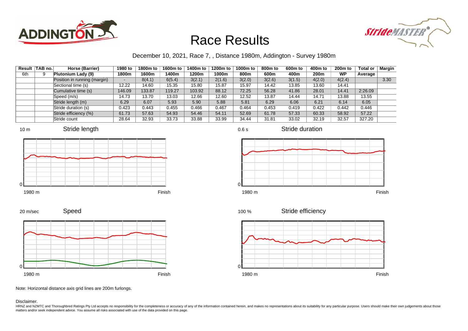



### December 10, 2021, Race 7, , Distance 1980m, Addington - Survey 1980m

| Result | TAB no. | Horse (Barrier)              | 1980 to | 1800m to | 1600m to | 1400m to | 1200m to | 1000m to | 800 <sub>m</sub> to | 600m to | 400m to          | 200 <sub>m</sub> to | <b>Total or</b> | Margin |
|--------|---------|------------------------------|---------|----------|----------|----------|----------|----------|---------------------|---------|------------------|---------------------|-----------------|--------|
| 6th    | 9       | Plutonium Lady (9)           | 1800m   | 1600m    | 1400m    | 1200m    | 1000m    | 800m     | 600m                | 400m    | 200 <sub>m</sub> | WP                  | Average         |        |
|        |         | Position in running (margin) | -       | 8(4.1)   | 6(5.4)   | 3(2.1)   | 2(1.6)   | 3(2.0)   | 3(2.6)              | 3(1.5)  | 4(2.0)           | 4(2.4)              |                 | 3.30   |
|        |         | Sectional time (s)           | 12.22   | 14.60    | 15.35    | 15.80    | 15.87    | 15.97    | 14.42               | 13.85   | 13.60            | 14.41               |                 |        |
|        |         | Cumulative time (s)          | 146.09  | 133.87   | 119.27   | 103.92   | 88.12    | 72.25    | 56.28               | 41.86   | 28.01            | 14.41               | 2:26.09         |        |
|        |         | Speed (m/s)                  | 14.73   | 13.70    | 13.03    | 12.66    | 12.60    | 12.52    | 13.87               | 14.44   | 14.71            | 13.88               | 13.55           |        |
|        |         | Stride length (m)            | 6.29    | 6.07     | 5.93     | 5.90     | 5.88     | 5.81     | 6.29                | 6.06    | 6.21             | 6.14                | 6.05            |        |
|        |         | Stride duration (s)          | 0.423   | 0.443    | 0.455    | 0.466    | 0.467    | 0.464    | 0.453               | 0.419   | 0.422            | 0.442               | 0.446           |        |
|        |         | Stride efficiency (%)        | 61.73   | 57.63    | 54.93    | 54.46    | 54.11    | 52.69    | 61.78               | 57.33   | 60.33            | 58.92               | 57.22           |        |
|        |         | Stride count                 | 28.64   | 32.93    | 33.73    | 33.88    | 33.99    | 34.44    | 31.81               | 33.02   | 32.19            | 32.57               | 327.20          |        |







0.6 s

Stride duration







1980 m Finish

Stride efficiency 100 %



Note: Horizontal distance axis grid lines are 200m furlongs.

#### Disclaimer.

0

HRNZ and NZMTC and Thoroughbred Ratings Pty Ltd accepts no responsibility for the completeness or accuracy of any of the information contained herein, and makes no representations about its suitability for any particular p matters and/or seek independent advice. You assume all risks associated with use of the data provided on this page.

 $\Omega$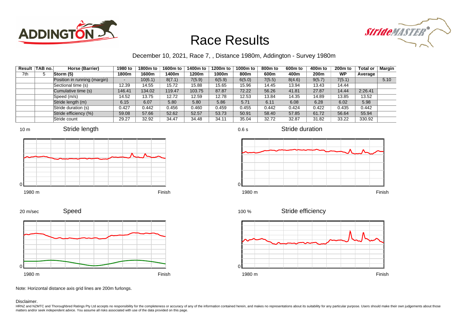



### December 10, 2021, Race 7, , Distance 1980m, Addington - Survey 1980m

|     | Result   TAB no. | Horse (Barrier)              | 1980 to | 1800m to | 1600m to | 1400m to | 1200m to | 1000m to | 800m to | 600 <sub>m</sub> to | 400m to | $200m$ to | <b>Total or</b> | <b>Margin</b> |
|-----|------------------|------------------------------|---------|----------|----------|----------|----------|----------|---------|---------------------|---------|-----------|-----------------|---------------|
| 7th | 5                | Storm (5)                    | 1800m   | 1600m    | 1400m    | 1200m    | 1000m    | 800m     | 600m    | 400m                | 200m    | <b>WP</b> | Average         |               |
|     |                  | Position in running (margin) |         | 10(6.1)  | 8(7.1)   | 7(5.9)   | 6(5.9)   | 6(5.0)   | 7(5.5)  | 8(4.6)              | 9(5.7)  | 7(5.1)    |                 | 5.10          |
|     |                  | Sectional time (s)           | 12.39   | 14.55    | 15.72    | 15.88    | 15.65    | 15.96    | 14.45   | 13.94               | 13.43   | 14.44     |                 |               |
|     |                  | Cumulative time (s)          | 146.41  | 134.02   | 119.47   | 103.75   | 87.87    | 72.22    | 56.26   | 41.81               | 27.87   | 14.44     | 2:26.41         |               |
|     |                  | Speed (m/s)                  | 14.52   | 13.75    | 12.72    | 12.59    | 12.78    | 12.53    | 13.84   | 14.35               | 14.89   | 13.85     | 13.52           |               |
|     |                  | Stride length (m)            | 6.15    | 6.07     | 5.80     | 5.80     | 5.86     | 5.71     | 6.11    | 6.08                | 6.28    | 6.02      | 5.98            |               |
|     |                  | Stride duration (s)          | 0.427   | 0.442    | 0.456    | 0.460    | 0.459    | 0.455    | 0.442   | 0.424               | 0.422   | 0.435     | 0.442           |               |
|     |                  | Stride efficiency (%)        | 59.08   | 57.66    | 52.62    | 52.57    | 53.73    | 50.91    | 58.40   | 57.85               | 61.72   | 56.64     | 55.94           |               |
|     |                  | Stride count                 | 29.27   | 32.92    | 34.47    | 34.48    | 34.11    | 35.04    | 32.72   | 32.87               | 31.82   | 33.22     | 330.92          |               |









0.6 s

Stride duration



Stride efficiency 100 %



Note: Horizontal distance axis grid lines are 200m furlongs.

Disclaimer.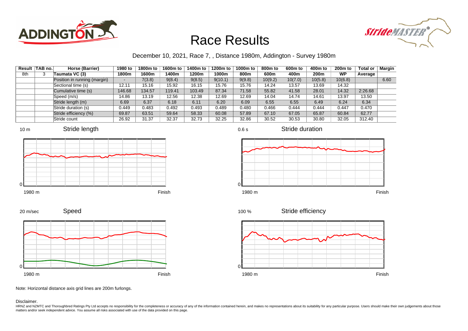



### December 10, 2021, Race 7, , Distance 1980m, Addington - Survey 1980m

0.6 s

| Result | TAB no. | Horse (Barrier)              | 1980 to | 1800m to | 1600m to | 1400m to | 1200m to | 1000m to | 800 <sub>m</sub> to | 600m to | 400m to | 200 <sub>m</sub> to | <b>Total or</b> | <b>Margin</b> |
|--------|---------|------------------------------|---------|----------|----------|----------|----------|----------|---------------------|---------|---------|---------------------|-----------------|---------------|
| 8th    | 3       | Taumata VC (3)               | 1800m   | 1600m    | 1400m    | 1200m    | 1000m    | 800m     | 600m                | 400m    | 200m    | WP                  | Average         |               |
|        |         | Position in running (margin) |         | 7(3.8)   | 9(8.4)   | 9(8.5)   | 9(10.1)  | 9(9.8)   | 10(9.2)             | 10(7.0) | 10(5.8) | 10(6.8)             |                 | 6.60          |
|        |         | Sectional time (s)           | 12.11   | 15.16    | 15.92    | 16.15    | 15.76    | 15.76    | 14.24               | 13.57   | 13.69   | 14.32               |                 |               |
|        |         | Cumulative time (s)          | 146.68  | 134.57   | 119.41   | 103.49   | 87.34    | 71.58    | 55.82               | 41.58   | 28.01   | 14.32               | 2:26.68         |               |
|        |         | Speed (m/s)                  | 14.86   | 13.19    | 12.56    | 12.38    | 12.69    | 12.69    | 14.04               | 14.74   | 14.61   | 13.97               | 13.50           |               |
|        |         | Stride length (m)            | 6.69    | 6.37     | 6.18     | 6.11     | 6.20     | 6.09     | 6.55                | 6.55    | 6.49    | 6.24                | 6.34            |               |
|        |         | Stride duration (s)          | 0.449   | 0.483    | 0.492    | 0.493    | 0.489    | 0.480    | 0.466               | 0.444   | 0.444   | 0.447               | 0.470           |               |
|        |         | Stride efficiency (%)        | 69.87   | 63.51    | 59.64    | 58.33    | 60.08    | 57.89    | 67.10               | 67.05   | 65.87   | 60.84               | 62.77           |               |
|        |         | Stride count                 | 26.92   | 31.37    | 32.37    | 32.73    | 32.25    | 32.86    | 30.52               | 30.53   | 30.80   | 32.05               | 312.40          |               |







Stride duration









Note: Horizontal distance axis grid lines are 200m furlongs.

Speed

#### Disclaimer.

20 m/sec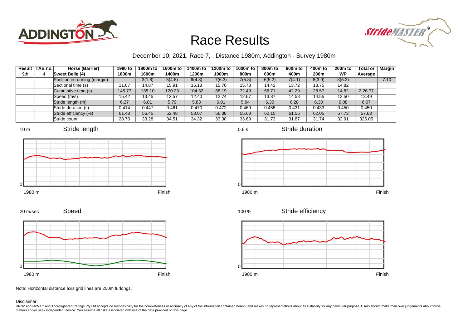



### December 10, 2021, Race 7, , Distance 1980m, Addington - Survey 1980m

|     | Result   TAB no. | Horse (Barrier)              | 1980 to | 1800m to | 1600m to | 1400m to | 1200m to | 1000m to | 800m to | 600m to | 400m to | $200m$ to | <b>Total or</b> | Margin |
|-----|------------------|------------------------------|---------|----------|----------|----------|----------|----------|---------|---------|---------|-----------|-----------------|--------|
| 9th | 4                | Sweet Belle (4)              | 1800m   | 1600m    | 1400m    | 1200m    | 1000m    | 800m     | 600m    | 400m    | 200m    | <b>WP</b> | Average         |        |
|     |                  | Position in running (margin) |         | 3(1.8)   | 5(4.8)   | 6(4.8)   | 7(6.3)   | 7(5.8)   | 6(5.2)  | 7(4.1)  | 8(3.9)  | 8(5.2)    |                 | 7.10   |
|     |                  | Sectional time (s)           | 11.67   | 14.87    | 15.91    | 16.13    | 15.70    | 15.78    | 14.42   | 13.72   | 13.75   | 14.82     |                 |        |
|     |                  | Cumulative time (s)          | 146.77  | 135.10   | 120.23   | 104.32   | 88.19    | 72.49    | 56.71   | 42.29   | 28.57   | 14.82     | 2:26.77         |        |
|     |                  | Speed (m/s)                  | 15.42   | 13.45    | 12.57    | 12.40    | 12.74    | 12.67    | 13.87   | 14.58   | 14.55   | 13.50     | 13.49           |        |
|     |                  | Stride length (m)            | 6.27    | 6.01     | 5.79     | 5.83     | 6.01     | 5.94     | 6.30    | 6.28    | 6.30    | 6.08      | 6.07            |        |
|     |                  | Stride duration (s)          | 0.414   | 0.447    | 0.461    | 0.470    | 0.472    | 0.469    | 0.455   | 0.431   | 0.433   | 0.450     | 0.450           |        |
|     |                  | Stride efficiency (%)        | 61.48   | 56.45    | 52.48    | 53.07    | 56.38    | 55.08    | 62.10   | 61.55   | 62.05   | 57.73     | 57.63           |        |
|     |                  | Stride count                 | 28.70   | 33.28    | 34.51    | 34.32    | 33.30    | 33.69    | 31.73   | 31.87   | 31.74   | 32.91     | 326.05          |        |









0.6 s

Stride duration



Stride efficiency 100 %



Note: Horizontal distance axis grid lines are 200m furlongs.

#### Disclaimer.